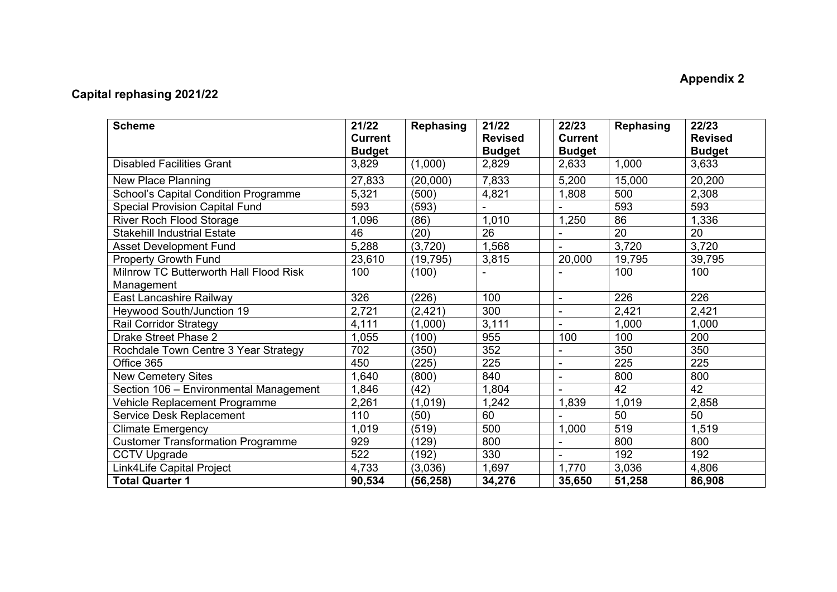## **Appendix 2**

## **Capital rephasing 2021/22**

| <b>Scheme</b>                                        | 21/22<br><b>Current</b><br><b>Budget</b> | <b>Rephasing</b> | 21/22<br><b>Revised</b><br><b>Budget</b> | 22/23<br><b>Current</b><br><b>Budget</b> | Rephasing | 22/23<br><b>Revised</b><br><b>Budget</b> |
|------------------------------------------------------|------------------------------------------|------------------|------------------------------------------|------------------------------------------|-----------|------------------------------------------|
| <b>Disabled Facilities Grant</b>                     | 3,829                                    | (1,000)          | 2,829                                    | 2,633                                    | 1,000     | 3,633                                    |
| New Place Planning                                   | 27,833                                   | (20,000)         | 7,833                                    | 5,200                                    | 15,000    | 20,200                                   |
| School's Capital Condition Programme                 | 5,321                                    | (500)            | 4,821                                    | 1,808                                    | 500       | 2,308                                    |
| <b>Special Provision Capital Fund</b>                | 593                                      | (593)            |                                          |                                          | 593       | 593                                      |
| <b>River Roch Flood Storage</b>                      | 1,096                                    | (86)             | 1,010                                    | 1,250                                    | 86        | 1,336                                    |
| <b>Stakehill Industrial Estate</b>                   | 46                                       | (20)             | 26                                       |                                          | 20        | 20                                       |
| <b>Asset Development Fund</b>                        | 5,288                                    | (3,720)          | 1,568                                    |                                          | 3,720     | 3,720                                    |
| <b>Property Growth Fund</b>                          | 23,610                                   | (19, 795)        | 3,815                                    | 20,000                                   | 19,795    | 39,795                                   |
| Milnrow TC Butterworth Hall Flood Risk<br>Management | 100                                      | (100)            |                                          |                                          | 100       | 100                                      |
| East Lancashire Railway                              | 326                                      | (226)            | 100                                      | $\blacksquare$                           | 226       | 226                                      |
| Heywood South/Junction 19                            | 2,721                                    | (2, 421)         | 300                                      |                                          | 2,421     | 2,421                                    |
| <b>Rail Corridor Strategy</b>                        | 4,111                                    | (1,000)          | 3,111                                    |                                          | 1,000     | 1,000                                    |
| Drake Street Phase 2                                 | 1,055                                    | (100)            | 955                                      | 100                                      | 100       | 200                                      |
| Rochdale Town Centre 3 Year Strategy                 | 702                                      | (350)            | 352                                      |                                          | 350       | 350                                      |
| Office 365                                           | 450                                      | (225)            | 225                                      | $\overline{a}$                           | 225       | 225                                      |
| <b>New Cemetery Sites</b>                            | 1,640                                    | (800)            | 840                                      | $\overline{\phantom{a}}$                 | 800       | 800                                      |
| Section 106 - Environmental Management               | 1,846                                    | (42)             | 1,804                                    |                                          | 42        | 42                                       |
| Vehicle Replacement Programme                        | 2,261                                    | (1,019)          | 1,242                                    | 1,839                                    | 1,019     | 2,858                                    |
| Service Desk Replacement                             | 110                                      | (50)             | 60                                       |                                          | 50        | 50                                       |
| <b>Climate Emergency</b>                             | 1,019                                    | (519)            | 500                                      | 1,000                                    | 519       | 1,519                                    |
| <b>Customer Transformation Programme</b>             | 929                                      | (129)            | 800                                      |                                          | 800       | 800                                      |
| <b>CCTV Upgrade</b>                                  | 522                                      | (192)            | 330                                      |                                          | 192       | 192                                      |
| Link4Life Capital Project                            | 4,733                                    | (3,036)          | 1,697                                    | 1,770                                    | 3,036     | 4,806                                    |
| <b>Total Quarter 1</b>                               | 90,534                                   | (56, 258)        | 34,276                                   | 35,650                                   | 51,258    | 86,908                                   |